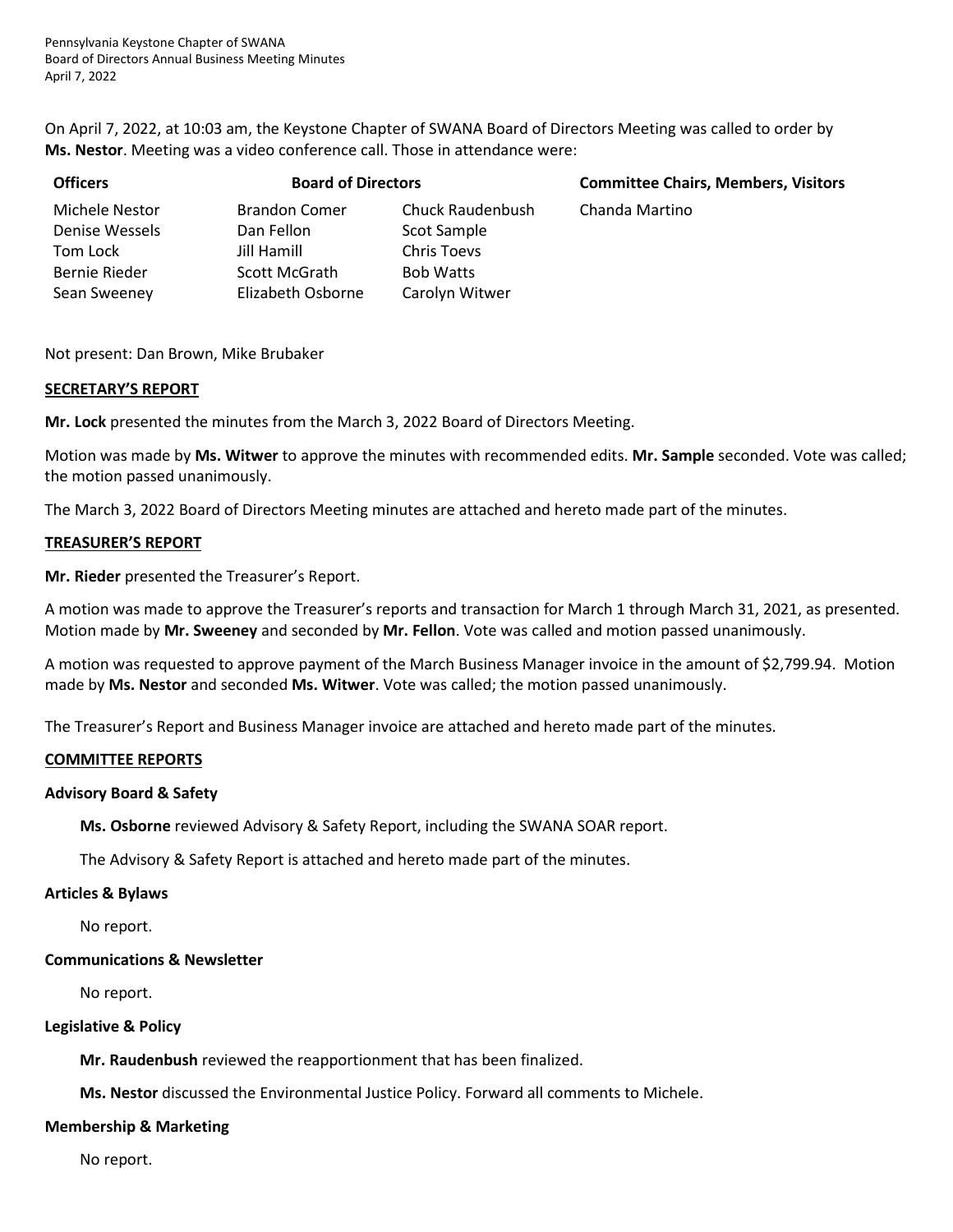Pennsylvania Keystone Chapter of SWANA Board of Directors Annual Business Meeting Minutes April 7, 2022

On April 7, 2022, at 10:03 am, the Keystone Chapter of SWANA Board of Directors Meeting was called to order by **Ms. Nestor**. Meeting was a video conference call. Those in attendance were:

| <b>Officers</b> | <b>Board of Directors</b> |                    | <b>Committee Chairs, Members, Visitors</b> |
|-----------------|---------------------------|--------------------|--------------------------------------------|
| Michele Nestor  | <b>Brandon Comer</b>      | Chuck Raudenbush   | Chanda Martino                             |
| Denise Wessels  | Dan Fellon                | Scot Sample        |                                            |
| Tom Lock        | Jill Hamill               | <b>Chris Toevs</b> |                                            |
| Bernie Rieder   | Scott McGrath             | <b>Bob Watts</b>   |                                            |
| Sean Sweeney    | Elizabeth Osborne         | Carolyn Witwer     |                                            |
|                 |                           |                    |                                            |

Not present: Dan Brown, Mike Brubaker

## **SECRETARY'S REPORT**

**Mr. Lock** presented the minutes from the March 3, 2022 Board of Directors Meeting.

Motion was made by **Ms. Witwer** to approve the minutes with recommended edits. **Mr. Sample** seconded. Vote was called; the motion passed unanimously.

The March 3, 2022 Board of Directors Meeting minutes are attached and hereto made part of the minutes.

## **TREASURER'S REPORT**

**Mr. Rieder** presented the Treasurer's Report.

A motion was made to approve the Treasurer's reports and transaction for March 1 through March 31, 2021, as presented. Motion made by **Mr. Sweeney** and seconded by **Mr. Fellon**. Vote was called and motion passed unanimously.

A motion was requested to approve payment of the March Business Manager invoice in the amount of \$2,799.94. Motion made by **Ms. Nestor** and seconded **Ms. Witwer**. Vote was called; the motion passed unanimously.

The Treasurer's Report and Business Manager invoice are attached and hereto made part of the minutes.

#### **COMMITTEE REPORTS**

#### **Advisory Board & Safety**

**Ms. Osborne** reviewed Advisory & Safety Report, including the SWANA SOAR report.

The Advisory & Safety Report is attached and hereto made part of the minutes.

#### **Articles & Bylaws**

No report.

## **Communications & Newsletter**

No report.

## **Legislative & Policy**

**Mr. Raudenbush** reviewed the reapportionment that has been finalized.

**Ms. Nestor** discussed the Environmental Justice Policy. Forward all comments to Michele.

## **Membership & Marketing**

No report.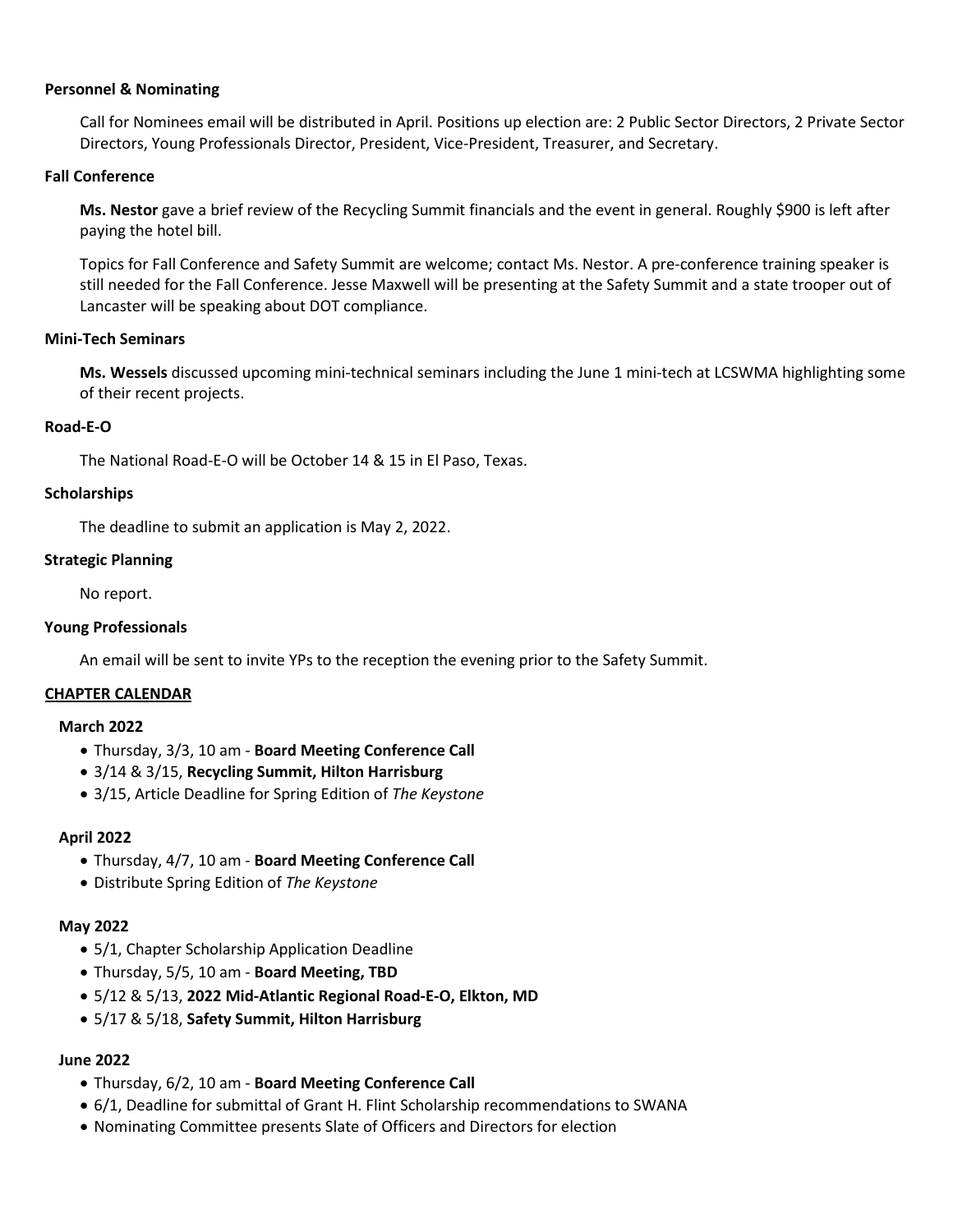## **Personnel & Nominating**

Call for Nominees email will be distributed in April. Positions up election are: 2 Public Sector Directors, 2 Private Sector Directors, Young Professionals Director, President, Vice-President, Treasurer, and Secretary.

## **Fall Conference**

**Ms. Nestor** gave a brief review of the Recycling Summit financials and the event in general. Roughly \$900 is left after paying the hotel bill.

Topics for Fall Conference and Safety Summit are welcome; contact Ms. Nestor. A pre-conference training speaker is still needed for the Fall Conference. Jesse Maxwell will be presenting at the Safety Summit and a state trooper out of Lancaster will be speaking about DOT compliance.

#### **Mini-Tech Seminars**

**Ms. Wessels** discussed upcoming mini-technical seminars including the June 1 mini-tech at LCSWMA highlighting some of their recent projects.

## **Road-E-O**

The National Road-E-O will be October 14 & 15 in El Paso, Texas.

## **Scholarships**

The deadline to submit an application is May 2, 2022.

## **Strategic Planning**

No report.

## **Young Professionals**

An email will be sent to invite YPs to the reception the evening prior to the Safety Summit.

#### **CHAPTER CALENDAR**

#### **March 2022**

- Thursday, 3/3, 10 am **Board Meeting Conference Call**
- 3/14 & 3/15, **Recycling Summit, Hilton Harrisburg**
- 3/15, Article Deadline for Spring Edition of *The Keystone*

#### **April 2022**

- Thursday, 4/7, 10 am **Board Meeting Conference Call**
- Distribute Spring Edition of *The Keystone*

#### **May 2022**

- 5/1, Chapter Scholarship Application Deadline
- Thursday, 5/5, 10 am **Board Meeting, TBD**
- 5/12 & 5/13, **2022 Mid-Atlantic Regional Road-E-O, Elkton, MD**
- 5/17 & 5/18, **Safety Summit, Hilton Harrisburg**

## **June 2022**

- Thursday, 6/2, 10 am **Board Meeting Conference Call**
- 6/1, Deadline for submittal of Grant H. Flint Scholarship recommendations to SWANA
- Nominating Committee presents Slate of Officers and Directors for election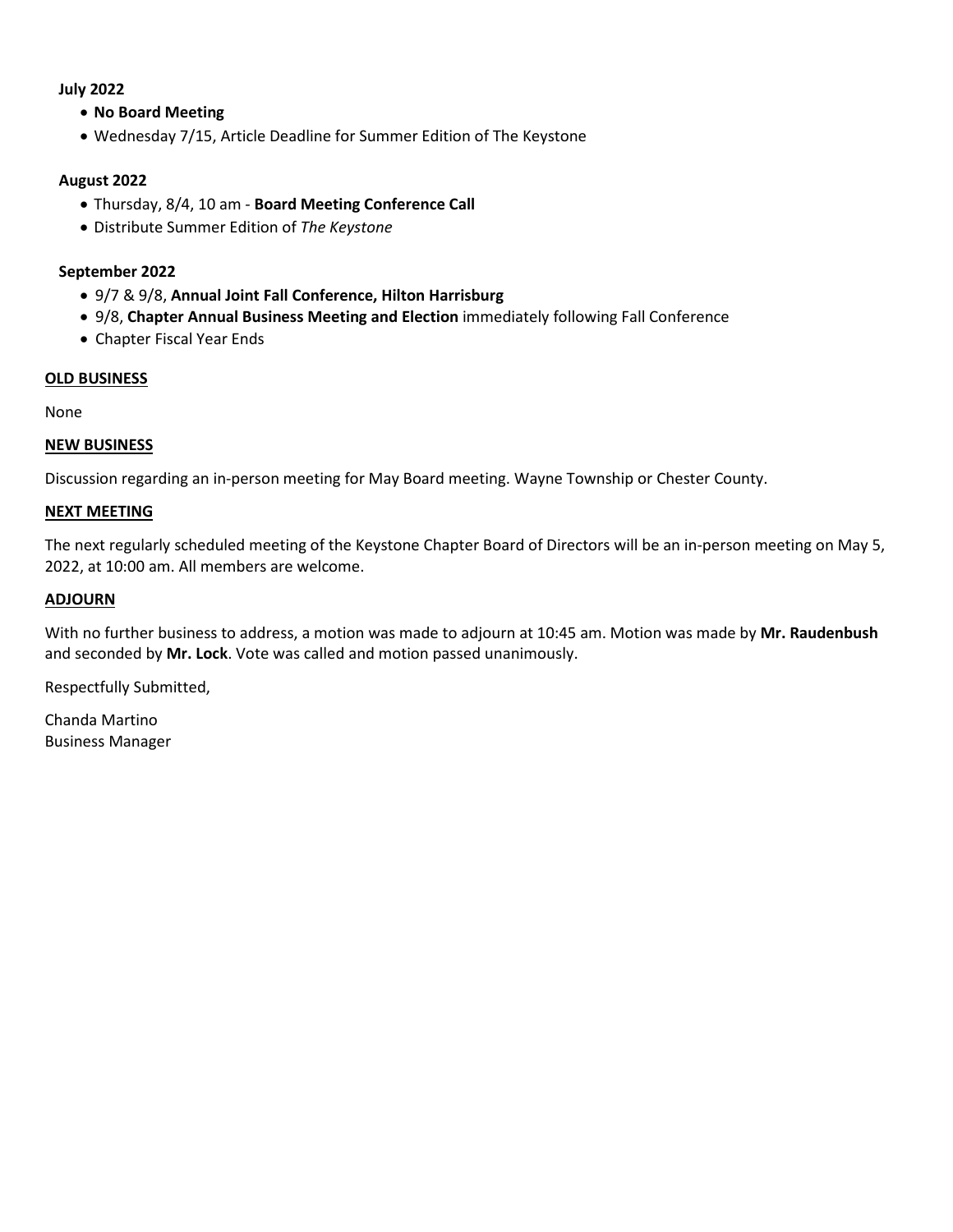## **July 2022**

- **No Board Meeting**
- Wednesday 7/15, Article Deadline for Summer Edition of The Keystone

## **August 2022**

- Thursday, 8/4, 10 am **Board Meeting Conference Call**
- Distribute Summer Edition of *The Keystone*

## **September 2022**

- 9/7 & 9/8, **Annual Joint Fall Conference, Hilton Harrisburg**
- 9/8, **Chapter Annual Business Meeting and Election** immediately following Fall Conference
- Chapter Fiscal Year Ends

## **OLD BUSINESS**

None

## **NEW BUSINESS**

Discussion regarding an in-person meeting for May Board meeting. Wayne Township or Chester County.

## **NEXT MEETING**

The next regularly scheduled meeting of the Keystone Chapter Board of Directors will be an in-person meeting on May 5, 2022, at 10:00 am. All members are welcome.

## **ADJOURN**

With no further business to address, a motion was made to adjourn at 10:45 am. Motion was made by **Mr. Raudenbush** and seconded by **Mr. Lock**. Vote was called and motion passed unanimously.

Respectfully Submitted,

Chanda Martino Business Manager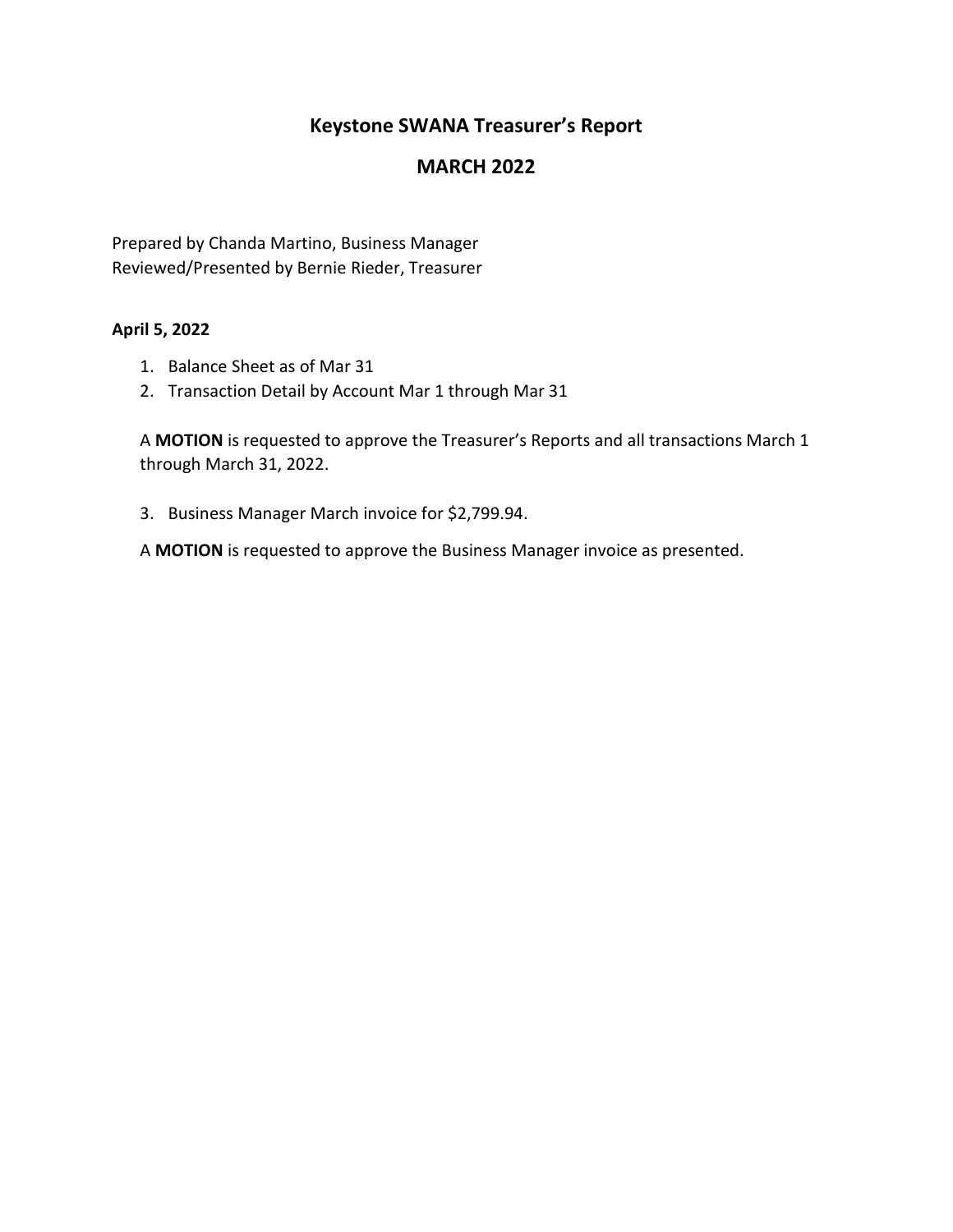## **Keystone SWANA Treasurer's Report**

## **MARCH 2022**

Prepared by Chanda Martino, Business Manager Reviewed/Presented by Bernie Rieder, Treasurer

## **April 5, 2022**

- 1. Balance Sheet as of Mar 31
- 2. Transaction Detail by Account Mar 1 through Mar 31

A **MOTION** is requested to approve the Treasurer's Reports and all transactions March 1 through March 31, 2022.

3. Business Manager March invoice for \$2,799.94.

A **MOTION** is requested to approve the Business Manager invoice as presented.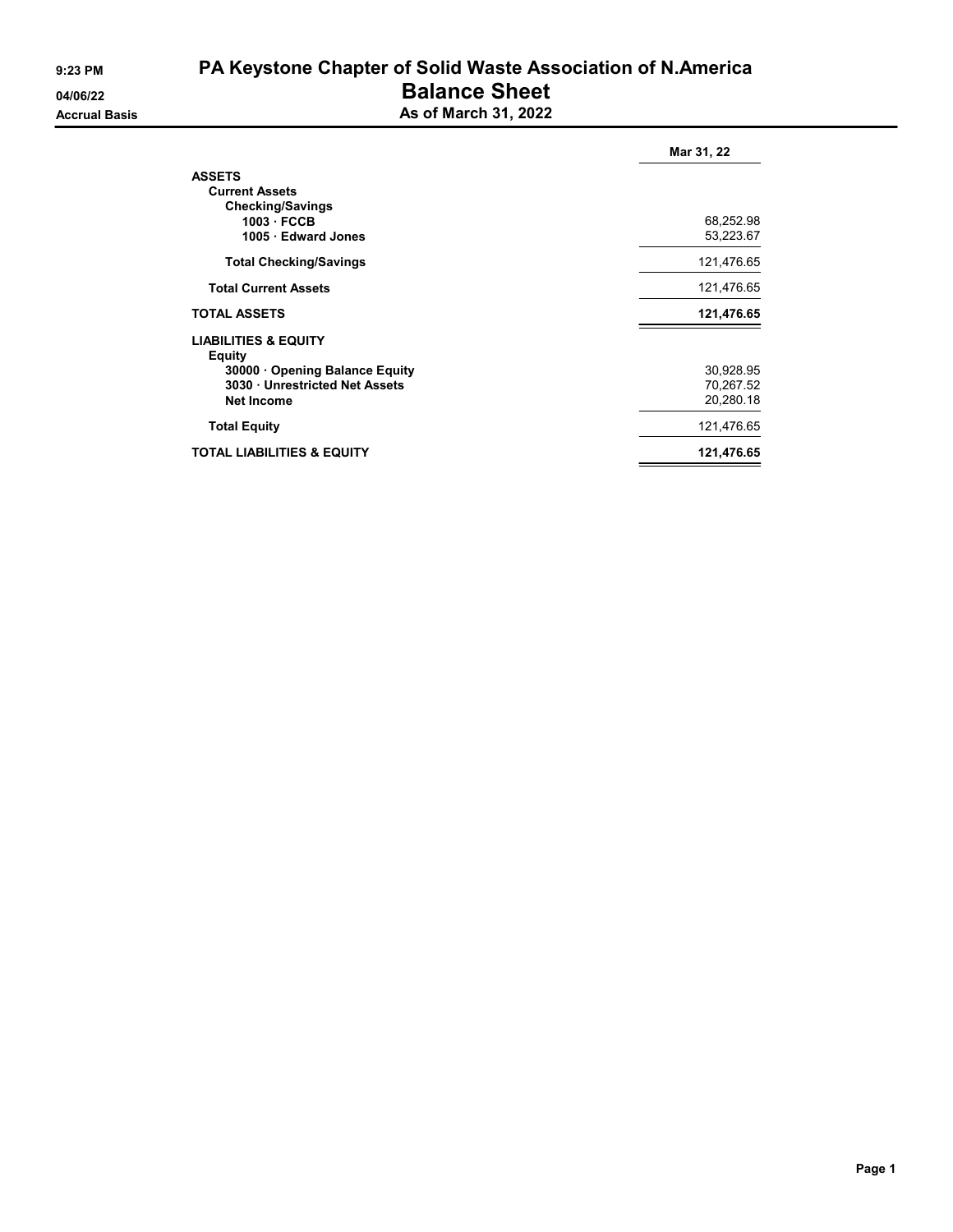## 9:23 PM PA Keystone Chapter of Solid Waste Association of N.America 04/06/22 Balance Sheet Accrual Basis **As of March 31, 2022**

|                                                                                                                                       | Mar 31, 22                          |
|---------------------------------------------------------------------------------------------------------------------------------------|-------------------------------------|
| <b>ASSETS</b><br><b>Current Assets</b><br><b>Checking/Savings</b><br>1003 FCCB<br>1005 · Edward Jones                                 | 68,252.98<br>53,223.67              |
| <b>Total Checking/Savings</b>                                                                                                         | 121,476.65                          |
| <b>Total Current Assets</b>                                                                                                           | 121,476.65                          |
| <b>TOTAL ASSETS</b>                                                                                                                   | 121,476.65                          |
| <b>LIABILITIES &amp; EQUITY</b><br><b>Equity</b><br>30000 Opening Balance Equity<br>3030 Unrestricted Net Assets<br><b>Net Income</b> | 30,928.95<br>70,267.52<br>20,280.18 |
| <b>Total Equity</b>                                                                                                                   | 121,476.65                          |
| TOTAL LIABILITIES & EQUITY                                                                                                            | 121,476.65                          |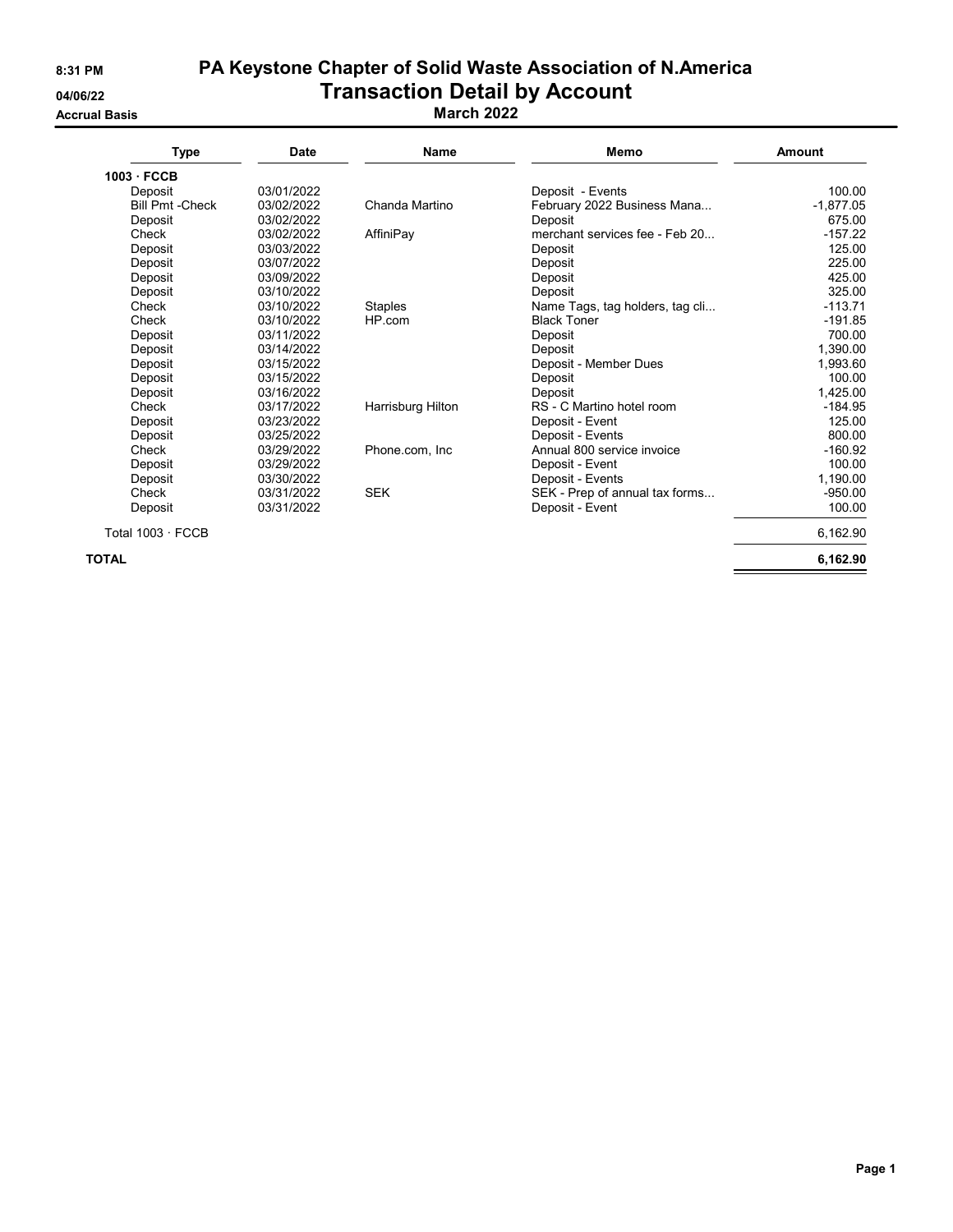## 8:31 PM PA Keystone Chapter of Solid Waste Association of N.America 04/06/22 **Transaction Detail by Account**

Accrual Basis **March 2022** 

| Type                    | <b>Date</b> | <b>Name</b>       | Memo                            | <b>Amount</b> |
|-------------------------|-------------|-------------------|---------------------------------|---------------|
| 1003 FCCB               |             |                   |                                 |               |
| Deposit                 | 03/01/2022  |                   | Deposit - Events                | 100.00        |
| <b>Bill Pmt - Check</b> | 03/02/2022  | Chanda Martino    | February 2022 Business Mana     | $-1,877.05$   |
| Deposit                 | 03/02/2022  |                   | Deposit                         | 675.00        |
| Check                   | 03/02/2022  | AffiniPay         | merchant services fee - Feb 20  | $-157.22$     |
| Deposit                 | 03/03/2022  |                   | Deposit                         | 125.00        |
| Deposit                 | 03/07/2022  |                   | Deposit                         | 225.00        |
| Deposit                 | 03/09/2022  |                   | Deposit                         | 425.00        |
| Deposit                 | 03/10/2022  |                   | Deposit                         | 325.00        |
| Check                   | 03/10/2022  | Staples           | Name Tags, tag holders, tag cli | $-113.71$     |
| Check                   | 03/10/2022  | HP.com            | <b>Black Toner</b>              | $-191.85$     |
| Deposit                 | 03/11/2022  |                   | Deposit                         | 700.00        |
| Deposit                 | 03/14/2022  |                   | Deposit                         | 1,390.00      |
| Deposit                 | 03/15/2022  |                   | Deposit - Member Dues           | 1,993.60      |
| Deposit                 | 03/15/2022  |                   | Deposit                         | 100.00        |
| Deposit                 | 03/16/2022  |                   | Deposit                         | 1,425.00      |
| Check                   | 03/17/2022  | Harrisburg Hilton | RS - C Martino hotel room       | $-184.95$     |
| Deposit                 | 03/23/2022  |                   | Deposit - Event                 | 125.00        |
| Deposit                 | 03/25/2022  |                   | Deposit - Events                | 800.00        |
| Check                   | 03/29/2022  | Phone.com, Inc.   | Annual 800 service invoice      | $-160.92$     |
| Deposit                 | 03/29/2022  |                   | Deposit - Event                 | 100.00        |
| Deposit                 | 03/30/2022  |                   | Deposit - Events                | 1,190.00      |
| Check                   | 03/31/2022  | <b>SEK</b>        | SEK - Prep of annual tax forms  | $-950.00$     |
| Deposit                 | 03/31/2022  |                   | Deposit - Event                 | 100.00        |
| Total 1003 · FCCB       |             |                   |                                 | 6,162.90      |
| TOTAL                   |             |                   |                                 | 6,162.90      |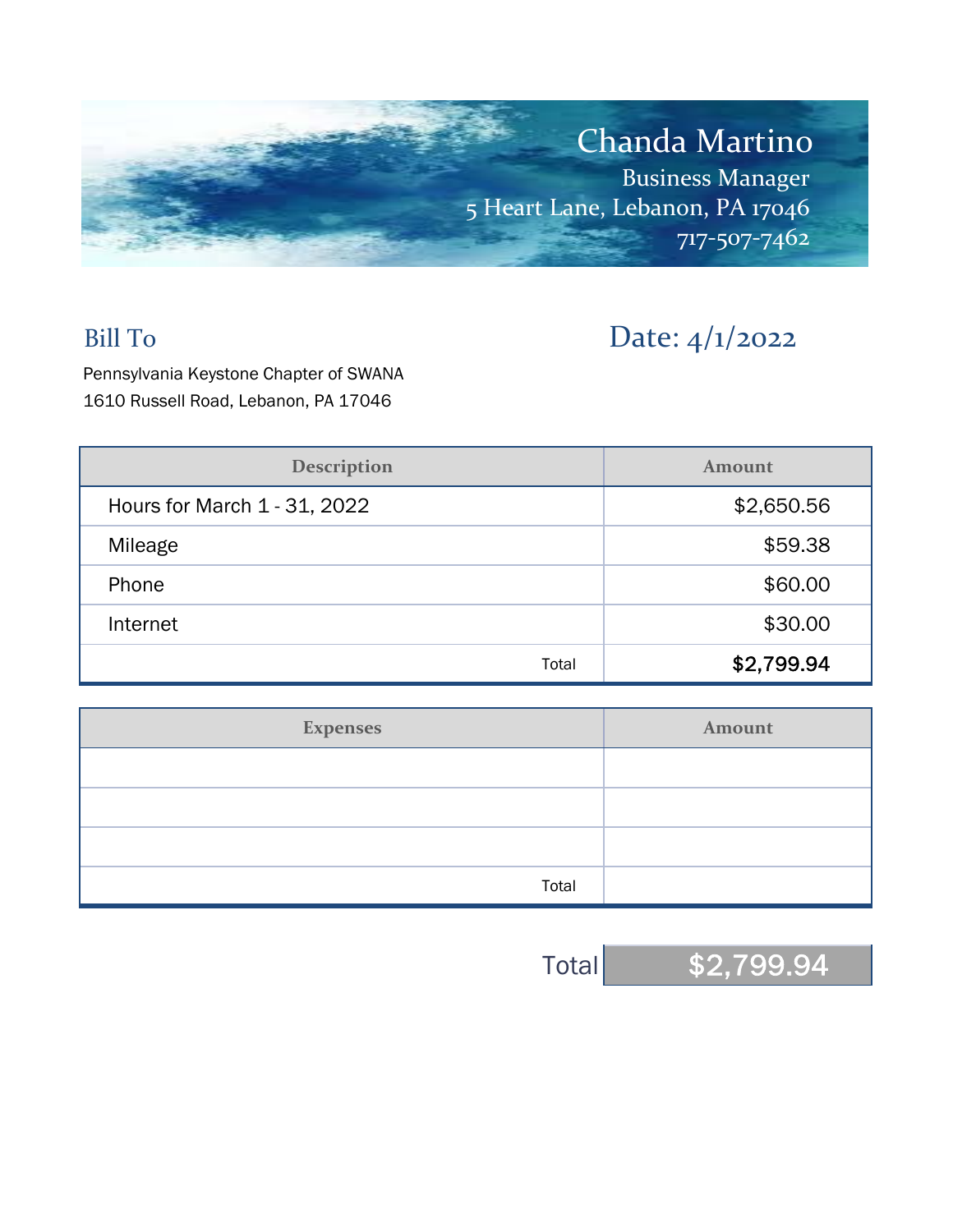

# Bill To Date: 4/1/2022

Pennsylvania Keystone Chapter of SWANA 1610 Russell Road, Lebanon, PA 17046

| Description                  | Amount     |  |  |
|------------------------------|------------|--|--|
| Hours for March 1 - 31, 2022 | \$2,650.56 |  |  |
| Mileage                      | \$59.38    |  |  |
| Phone                        | \$60.00    |  |  |
| Internet                     | \$30.00    |  |  |
| Total                        | \$2,799.94 |  |  |

| <b>Expenses</b> | Amount |
|-----------------|--------|
|                 |        |
|                 |        |
|                 |        |
| Total           |        |

Total \$2,799.94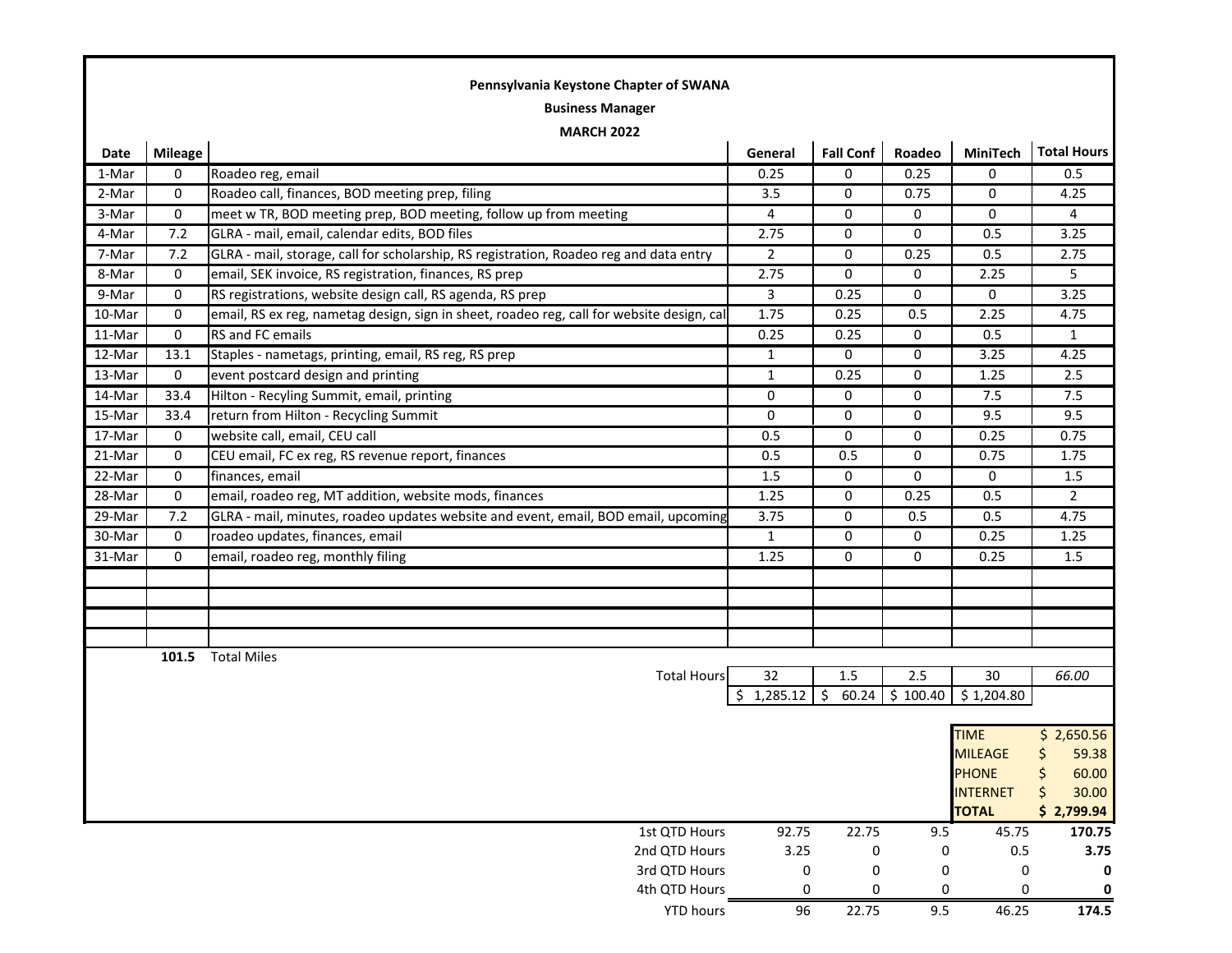## **Pennsylvania Keystone Chapter of SWANA**

## **Business Manager**

**MARCH 2022**

| Date     | <b>Mileage</b> |                                                                                           | General        | <b>Fall Conf</b> | Roadeo                | MiniTech                        | <b>Total Hours</b>   |
|----------|----------------|-------------------------------------------------------------------------------------------|----------------|------------------|-----------------------|---------------------------------|----------------------|
| 1-Mar    | 0              | Roadeo reg, email                                                                         | 0.25           | 0                | 0.25                  | 0                               | 0.5                  |
| $2-Mar$  | $\mathbf 0$    | Roadeo call, finances, BOD meeting prep, filing                                           | 3.5            | 0                | 0.75                  | 0                               | 4.25                 |
| 3-Mar    | 0              | meet w TR, BOD meeting prep, BOD meeting, follow up from meeting                          | 4              | 0                | 0                     | 0                               | 4                    |
| 4-Mar    | 7.2            | GLRA - mail, email, calendar edits, BOD files                                             | 2.75           | 0                | 0                     | 0.5                             | 3.25                 |
| 7-Mar    | 7.2            | GLRA - mail, storage, call for scholarship, RS registration, Roadeo reg and data entry    | $\overline{2}$ | 0                | 0.25                  | 0.5                             | 2.75                 |
| 8-Mar    | 0              | email, SEK invoice, RS registration, finances, RS prep                                    | 2.75           | 0                | 0                     | 2.25                            | 5                    |
| 9-Mar    | 0              | RS registrations, website design call, RS agenda, RS prep                                 | 3              | 0.25             | 0                     | 0                               | 3.25                 |
| 10-Mar   | $\mathbf 0$    | email, RS ex reg, nametag design, sign in sheet, roadeo reg, call for website design, cal | 1.75           | 0.25             | 0.5                   | 2.25                            | 4.75                 |
| 11-Mar   | 0              | RS and FC emails                                                                          | 0.25           | 0.25             | 0                     | 0.5                             | $\mathbf{1}$         |
| 12-Mar   | 13.1           | Staples - nametags, printing, email, RS reg, RS prep                                      | $\mathbf{1}$   | 0                | $\mathbf 0$           | 3.25                            | 4.25                 |
| 13-Mar   | 0              | event postcard design and printing                                                        | $\mathbf{1}$   | 0.25             | 0                     | 1.25                            | 2.5                  |
| 14-Mar   | 33.4           | Hilton - Recyling Summit, email, printing                                                 | $\mathbf 0$    | 0                | $\mathbf 0$           | 7.5                             | 7.5                  |
| 15-Mar   | 33.4           | return from Hilton - Recycling Summit                                                     | $\overline{0}$ | $\overline{0}$   | 0                     | 9.5                             | 9.5                  |
| 17-Mar   | 0              | website call, email, CEU call                                                             | 0.5            | 0                | 0                     | 0.25                            | 0.75                 |
| $21-Mar$ | $\mathbf 0$    | CEU email, FC ex reg, RS revenue report, finances                                         | 0.5            | 0.5              | $\pmb{0}$             | 0.75                            | 1.75                 |
| 22-Mar   | $\mathbf 0$    | finances, email                                                                           | 1.5            | 0                | 0                     | 0                               | 1.5                  |
| 28-Mar   | 0              | email, roadeo reg, MT addition, website mods, finances                                    | 1.25           | 0                | 0.25                  | 0.5                             | $\overline{2}$       |
| 29-Mar   | 7.2            | GLRA - mail, minutes, roadeo updates website and event, email, BOD email, upcoming        | 3.75           | 0                | 0.5                   | 0.5                             | 4.75                 |
| 30-Mar   | 0              | roadeo updates, finances, email                                                           | $\mathbf{1}$   | 0                | 0                     | 0.25                            | 1.25                 |
| 31-Mar   | 0              | email, roadeo reg, monthly filing                                                         | 1.25           | 0                | 0                     | 0.25                            | 1.5                  |
|          |                |                                                                                           |                |                  |                       |                                 |                      |
|          |                |                                                                                           |                |                  |                       |                                 |                      |
|          |                |                                                                                           |                |                  |                       |                                 |                      |
|          |                |                                                                                           |                |                  |                       |                                 |                      |
|          | 101.5          | <b>Total Miles</b>                                                                        |                |                  |                       |                                 |                      |
|          |                | <b>Total Hours</b>                                                                        | 32             | 1.5              | 2.5                   | 30                              | 66.00                |
|          |                |                                                                                           | \$1,285.12     | \$<br>60.24      | $\overline{5}$ 100.40 | $\overline{5}$ 1,204.80         |                      |
|          |                |                                                                                           |                |                  |                       |                                 |                      |
|          |                |                                                                                           |                |                  |                       | <b>TIME</b>                     | \$2,650.56           |
|          |                |                                                                                           |                |                  |                       | <b>MILEAGE</b>                  | 59.38<br>\$          |
|          |                |                                                                                           |                |                  |                       | <b>PHONE</b><br><b>INTERNET</b> | \$<br>60.00          |
|          |                |                                                                                           |                |                  |                       | <b>TOTAL</b>                    | 30.00                |
|          |                | 1st QTD Hours                                                                             | 92.75          | 22.75            | 9.5                   | 45.75                           | \$2,799.94<br>170.75 |
|          |                | 2nd QTD Hours                                                                             | 3.25           | 0                | 0                     | 0.5                             | 3.75                 |
|          |                | 3rd QTD Hours                                                                             | 0              | 0                | 0                     | 0                               | 0                    |
|          |                | 4th QTD Hours                                                                             | 0              | 0                | 0                     | 0                               | 0                    |
|          |                | <b>YTD hours</b>                                                                          | 96             | 22.75            | 9.5                   | 46.25                           | 174.5                |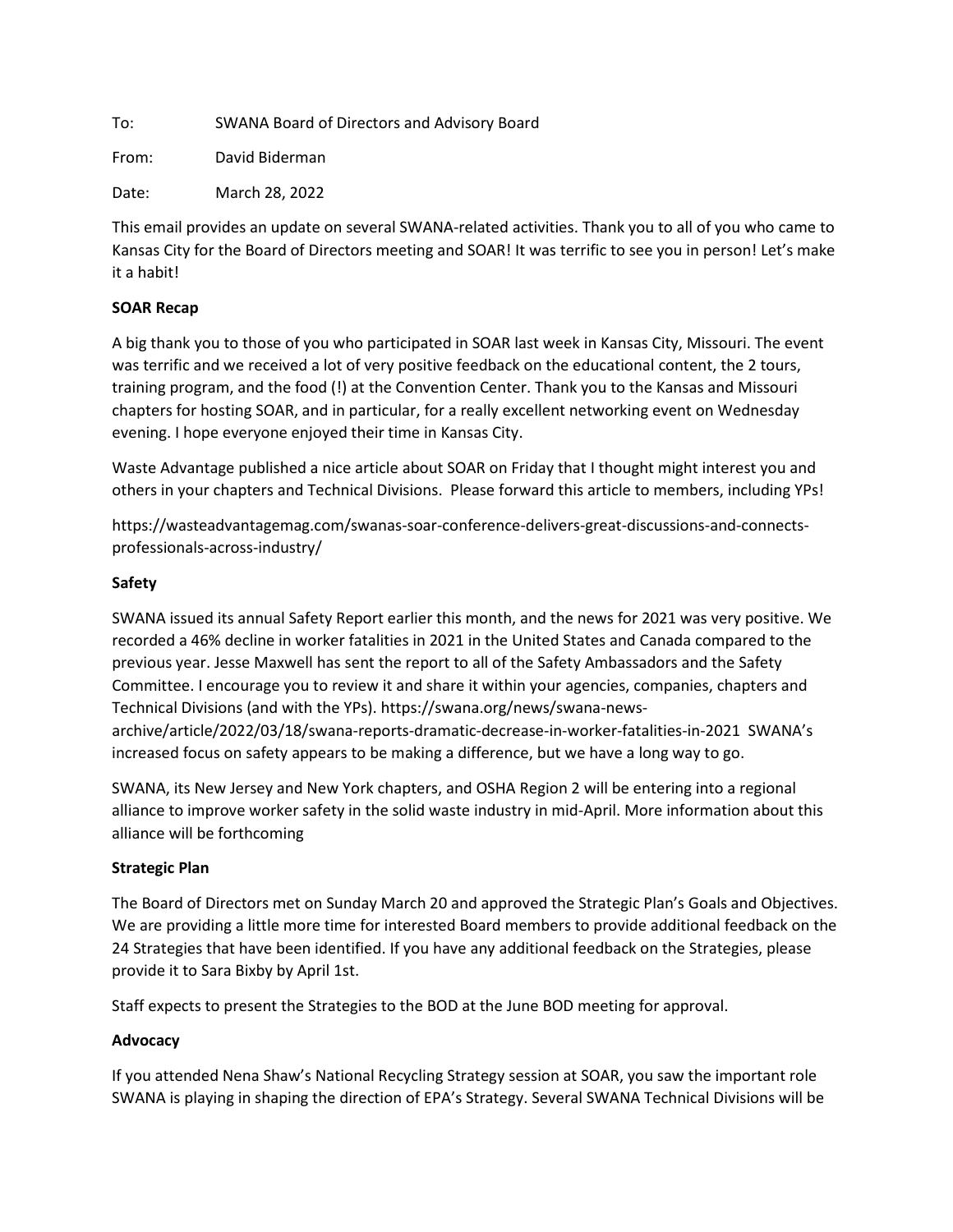To: SWANA Board of Directors and Advisory Board

From: David Biderman

Date: March 28, 2022

This email provides an update on several SWANA-related activities. Thank you to all of you who came to Kansas City for the Board of Directors meeting and SOAR! It was terrific to see you in person! Let's make it a habit!

## **SOAR Recap**

A big thank you to those of you who participated in SOAR last week in Kansas City, Missouri. The event was terrific and we received a lot of very positive feedback on the educational content, the 2 tours, training program, and the food (!) at the Convention Center. Thank you to the Kansas and Missouri chapters for hosting SOAR, and in particular, for a really excellent networking event on Wednesday evening. I hope everyone enjoyed their time in Kansas City.

Waste Advantage published a nice article about SOAR on Friday that I thought might interest you and others in your chapters and Technical Divisions. Please forward this article to members, including YPs!

https://wasteadvantagemag.com/swanas-soar-conference-delivers-great-discussions-and-connectsprofessionals-across-industry/

## **Safety**

SWANA issued its annual Safety Report earlier this month, and the news for 2021 was very positive. We recorded a 46% decline in worker fatalities in 2021 in the United States and Canada compared to the previous year. Jesse Maxwell has sent the report to all of the Safety Ambassadors and the Safety Committee. I encourage you to review it and share it within your agencies, companies, chapters and Technical Divisions (and with the YPs). https://swana.org/news/swana-newsarchive/article/2022/03/18/swana-reports-dramatic-decrease-in-worker-fatalities-in-2021 SWANA's increased focus on safety appears to be making a difference, but we have a long way to go.

SWANA, its New Jersey and New York chapters, and OSHA Region 2 will be entering into a regional alliance to improve worker safety in the solid waste industry in mid-April. More information about this alliance will be forthcoming

## **Strategic Plan**

The Board of Directors met on Sunday March 20 and approved the Strategic Plan's Goals and Objectives. We are providing a little more time for interested Board members to provide additional feedback on the 24 Strategies that have been identified. If you have any additional feedback on the Strategies, please provide it to Sara Bixby by April 1st.

Staff expects to present the Strategies to the BOD at the June BOD meeting for approval.

## **Advocacy**

If you attended Nena Shaw's National Recycling Strategy session at SOAR, you saw the important role SWANA is playing in shaping the direction of EPA's Strategy. Several SWANA Technical Divisions will be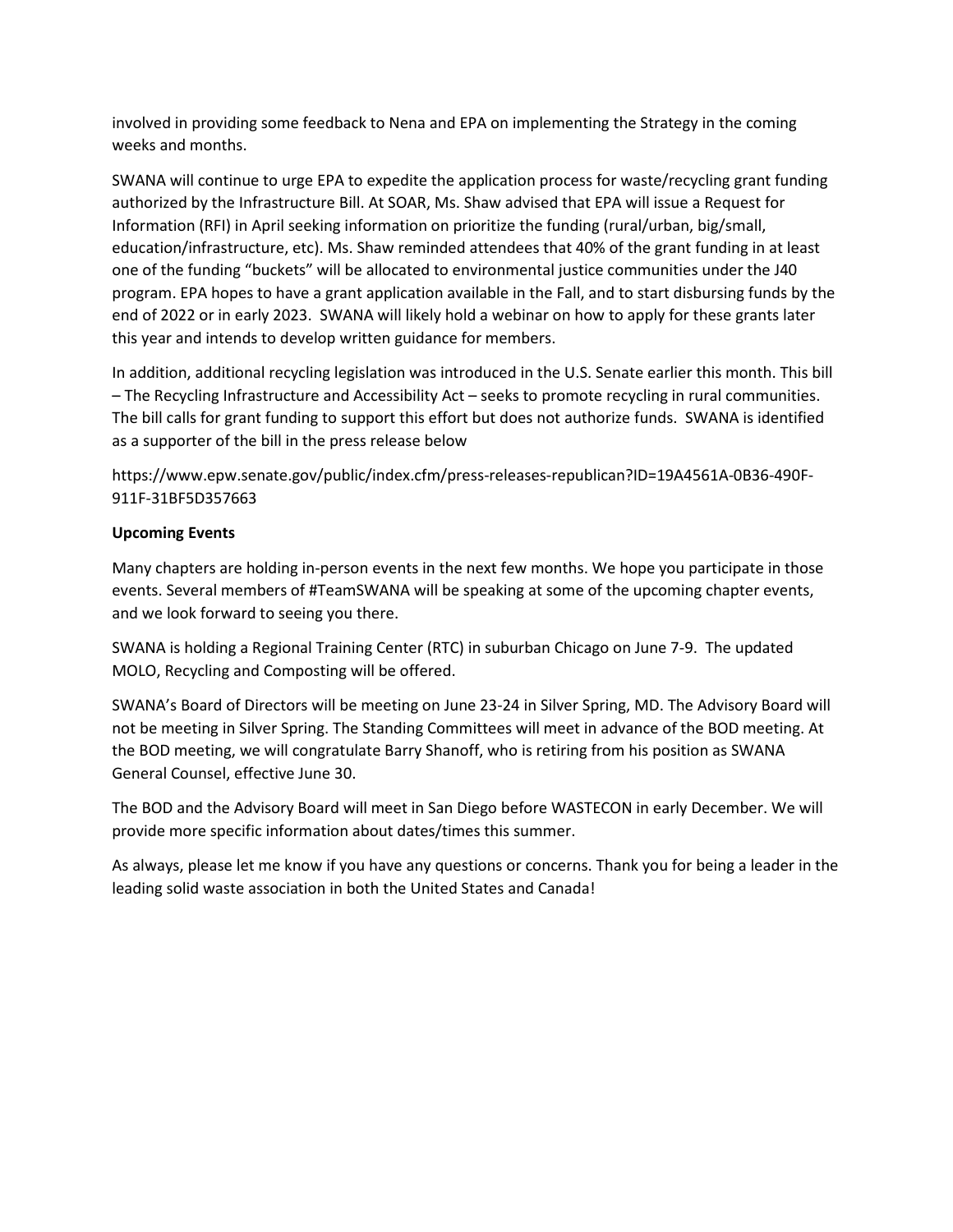involved in providing some feedback to Nena and EPA on implementing the Strategy in the coming weeks and months.

SWANA will continue to urge EPA to expedite the application process for waste/recycling grant funding authorized by the Infrastructure Bill. At SOAR, Ms. Shaw advised that EPA will issue a Request for Information (RFI) in April seeking information on prioritize the funding (rural/urban, big/small, education/infrastructure, etc). Ms. Shaw reminded attendees that 40% of the grant funding in at least one of the funding "buckets" will be allocated to environmental justice communities under the J40 program. EPA hopes to have a grant application available in the Fall, and to start disbursing funds by the end of 2022 or in early 2023. SWANA will likely hold a webinar on how to apply for these grants later this year and intends to develop written guidance for members.

In addition, additional recycling legislation was introduced in the U.S. Senate earlier this month. This bill – The Recycling Infrastructure and Accessibility Act – seeks to promote recycling in rural communities. The bill calls for grant funding to support this effort but does not authorize funds. SWANA is identified as a supporter of the bill in the press release below

https://www.epw.senate.gov/public/index.cfm/press-releases-republican?ID=19A4561A-0B36-490F-911F-31BF5D357663

## **Upcoming Events**

Many chapters are holding in-person events in the next few months. We hope you participate in those events. Several members of #TeamSWANA will be speaking at some of the upcoming chapter events, and we look forward to seeing you there.

SWANA is holding a Regional Training Center (RTC) in suburban Chicago on June 7-9. The updated MOLO, Recycling and Composting will be offered.

SWANA's Board of Directors will be meeting on June 23-24 in Silver Spring, MD. The Advisory Board will not be meeting in Silver Spring. The Standing Committees will meet in advance of the BOD meeting. At the BOD meeting, we will congratulate Barry Shanoff, who is retiring from his position as SWANA General Counsel, effective June 30.

The BOD and the Advisory Board will meet in San Diego before WASTECON in early December. We will provide more specific information about dates/times this summer.

As always, please let me know if you have any questions or concerns. Thank you for being a leader in the leading solid waste association in both the United States and Canada!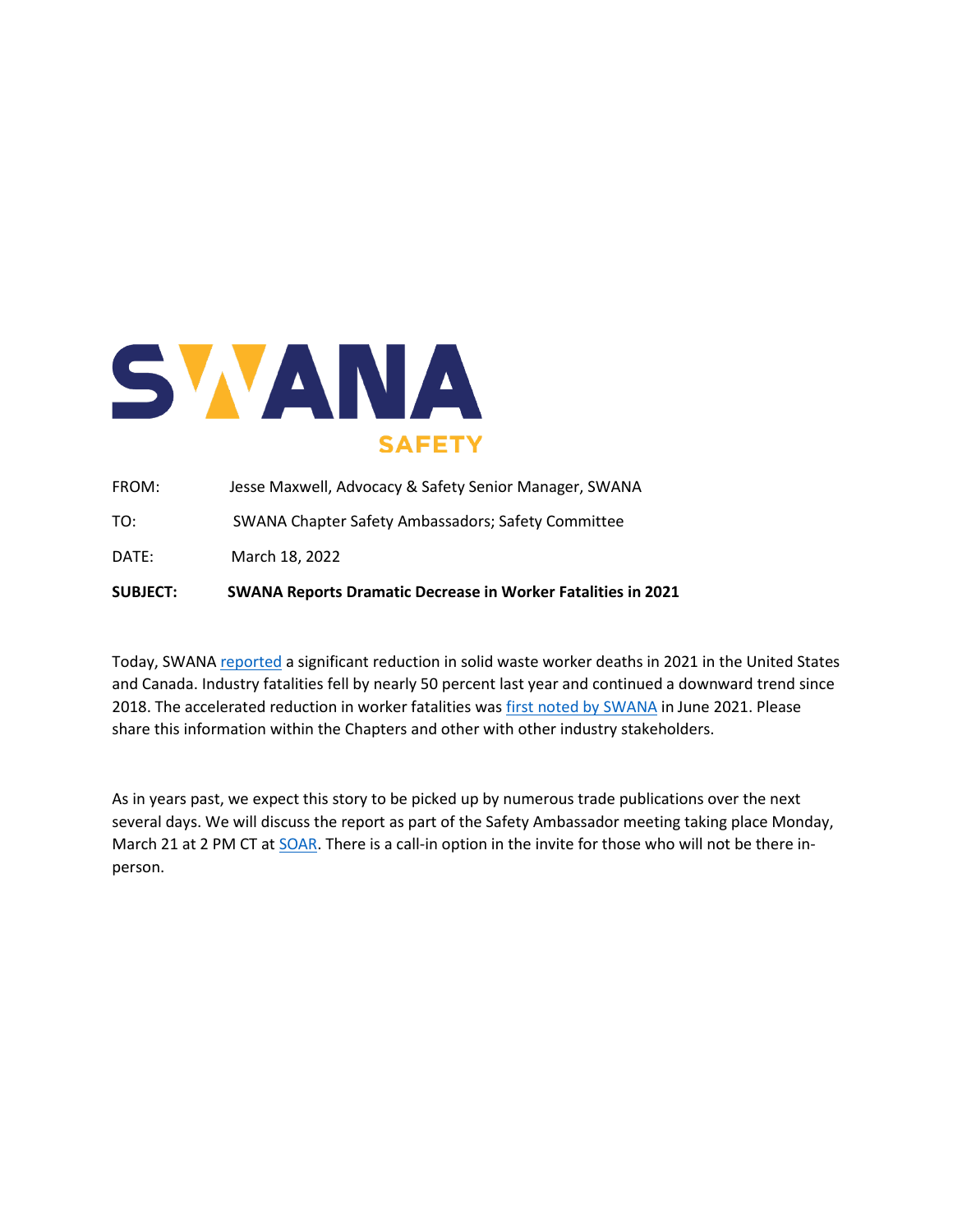

FROM: Jesse Maxwell, Advocacy & Safety Senior Manager, SWANA TO: SWANA Chapter Safety Ambassadors; Safety Committee DATE: March 18, 2022

## **SUBJECT: SWANA Reports Dramatic Decrease in Worker Fatalities in 2021**

Today, SWAN[A reported](https://swana.org/news/swana-news-archive/article/2022/03/18/swana-reports-dramatic-decrease-in-worker-fatalities-in-2021) a significant reduction in solid waste worker deaths in 2021 in the United States and Canada. Industry fatalities fell by nearly 50 percent last year and continued a downward trend since 2018. The accelerated reduction in worker fatalities was [first noted by SWANA](https://swana.org/news/swana-news-archive/article/2021/06/29/swana-reports-decline-in-fatal-incidents-in-first-half-of-2021) in June 2021. Please share this information within the Chapters and other with other industry stakeholders.

As in years past, we expect this story to be picked up by numerous trade publications over the next several days. We will discuss the report as part of the Safety Ambassador meeting taking place Monday, March 21 at 2 PM CT at [SOAR.](https://swana.swoogo.com/soar2022/) There is a call-in option in the invite for those who will not be there inperson.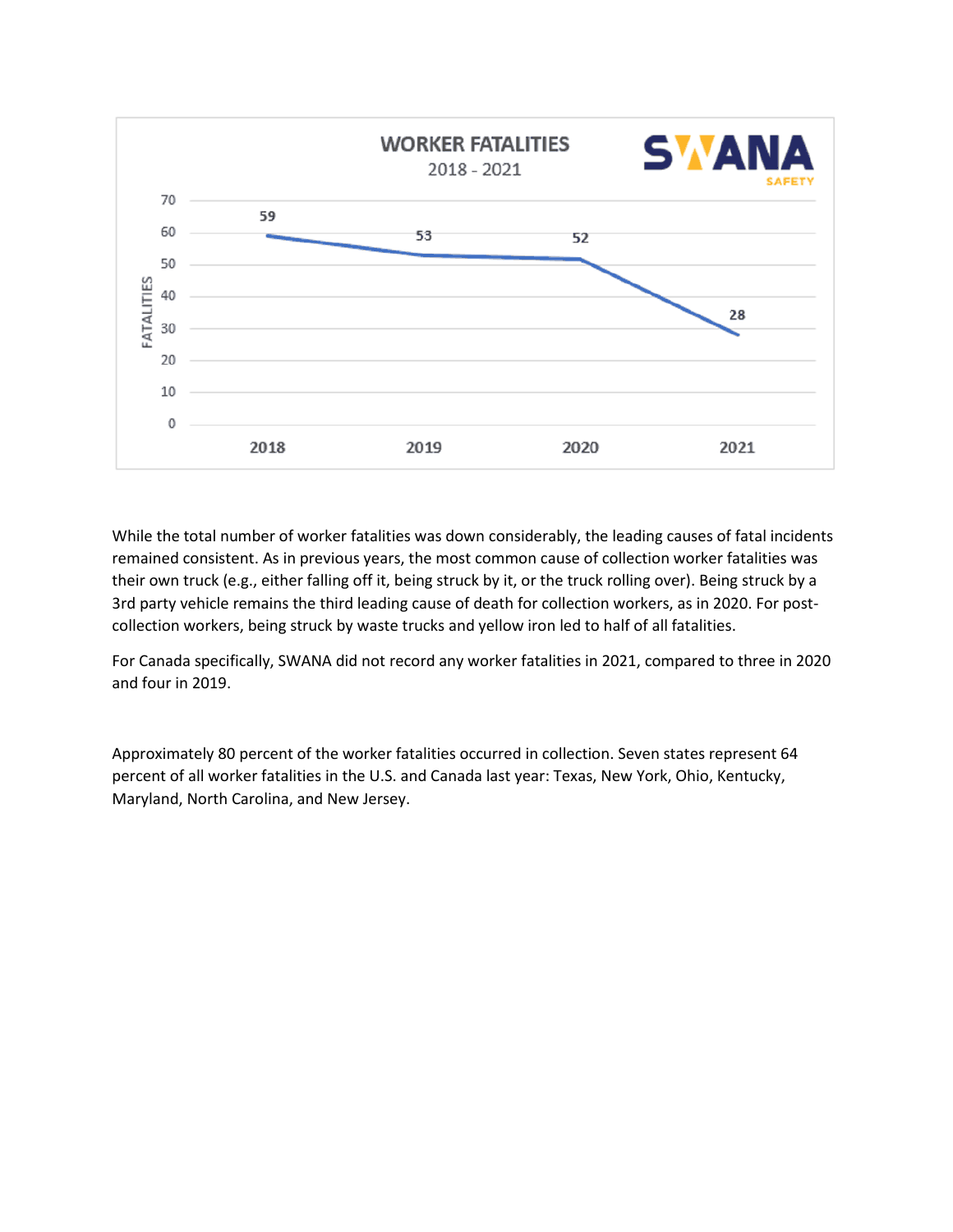

While the total number of worker fatalities was down considerably, the leading causes of fatal incidents remained consistent. As in previous years, the most common cause of collection worker fatalities was their own truck (e.g., either falling off it, being struck by it, or the truck rolling over). Being struck by a 3rd party vehicle remains the third leading cause of death for collection workers, as in 2020. For postcollection workers, being struck by waste trucks and yellow iron led to half of all fatalities.

For Canada specifically, SWANA did not record any worker fatalities in 2021, compared to three in 2020 and four in 2019.

Approximately 80 percent of the worker fatalities occurred in collection. Seven states represent 64 percent of all worker fatalities in the U.S. and Canada last year: Texas, New York, Ohio, Kentucky, Maryland, North Carolina, and New Jersey.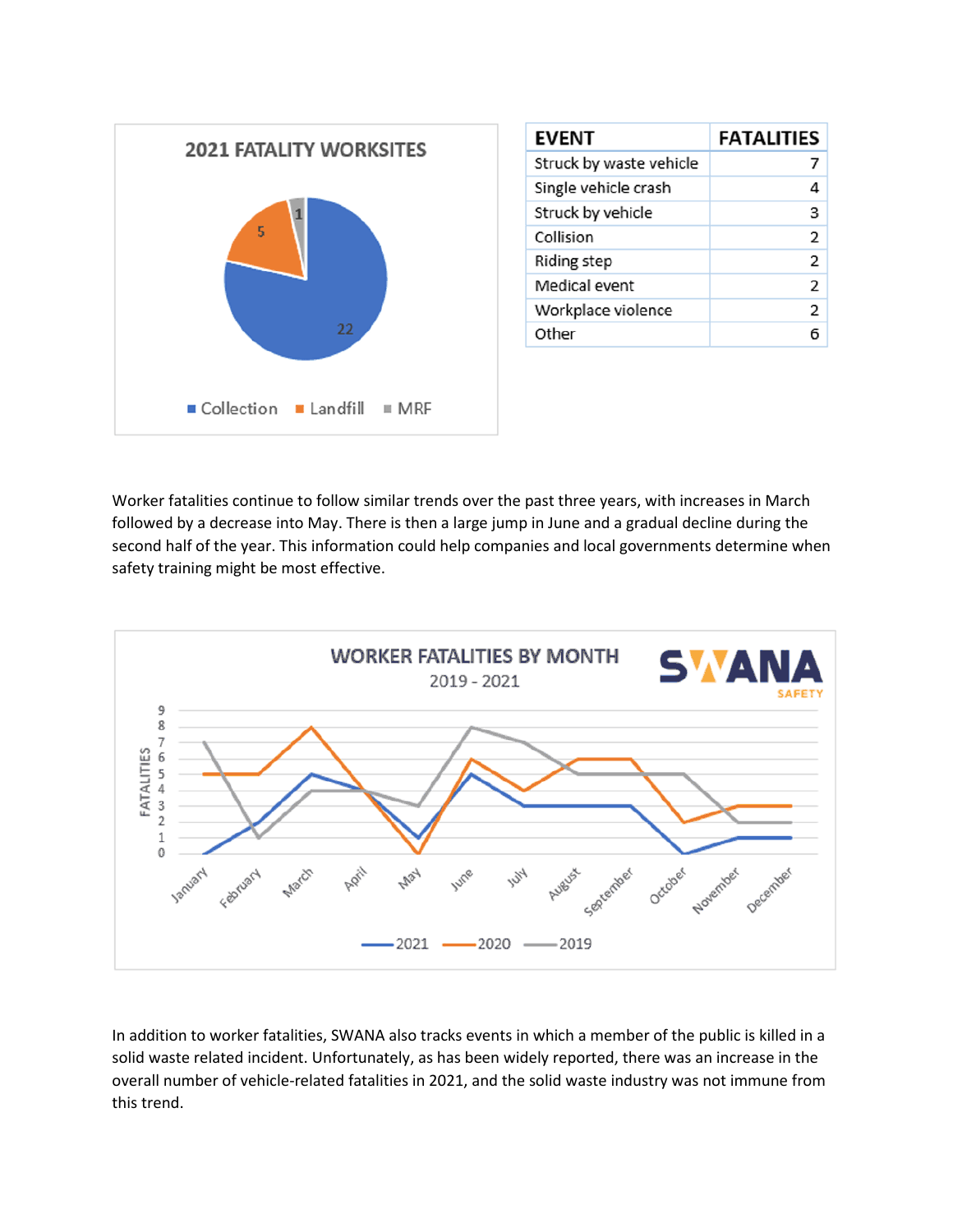

| <b>EVENT</b>            | <b>FATALITIES</b> |
|-------------------------|-------------------|
| Struck by waste vehicle |                   |
| Single vehicle crash    | 4                 |
| Struck by vehicle       | 3                 |
| Collision               | 2                 |
| Riding step             | 2                 |
| Medical event           | $\mathcal{P}$     |
| Workplace violence      | $\overline{2}$    |
| Other                   |                   |

Worker fatalities continue to follow similar trends over the past three years, with increases in March followed by a decrease into May. There is then a large jump in June and a gradual decline during the second half of the year. This information could help companies and local governments determine when safety training might be most effective.



In addition to worker fatalities, SWANA also tracks events in which a member of the public is killed in a solid waste related incident. Unfortunately, as has been widely reported, there was an increase in the overall number of vehicle-related fatalities in 2021, and the solid waste industry was not immune from this trend.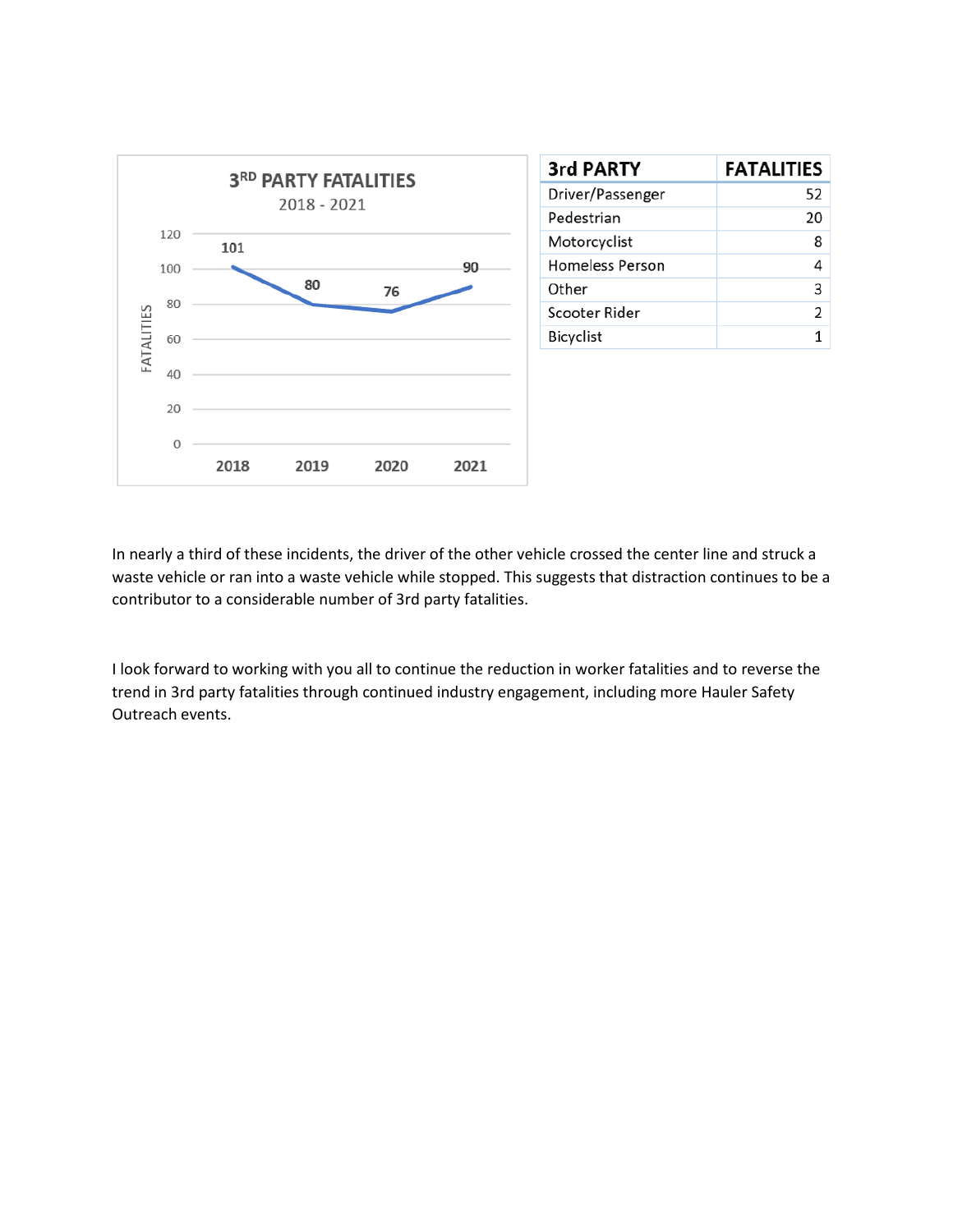

| 3rd PARTY              | <b>FATALITIES</b> |
|------------------------|-------------------|
| Driver/Passenger       | 52                |
| Pedestrian             | 20                |
| Motorcyclist           | 8                 |
| <b>Homeless Person</b> | 4                 |
| Other                  | 3                 |
| Scooter Rider          | $\mathfrak{p}$    |
| <b>Bicyclist</b>       |                   |

In nearly a third of these incidents, the driver of the other vehicle crossed the center line and struck a waste vehicle or ran into a waste vehicle while stopped. This suggests that distraction continues to be a contributor to a considerable number of 3rd party fatalities.

I look forward to working with you all to continue the reduction in worker fatalities and to reverse the trend in 3rd party fatalities through continued industry engagement, including more Hauler Safety Outreach events.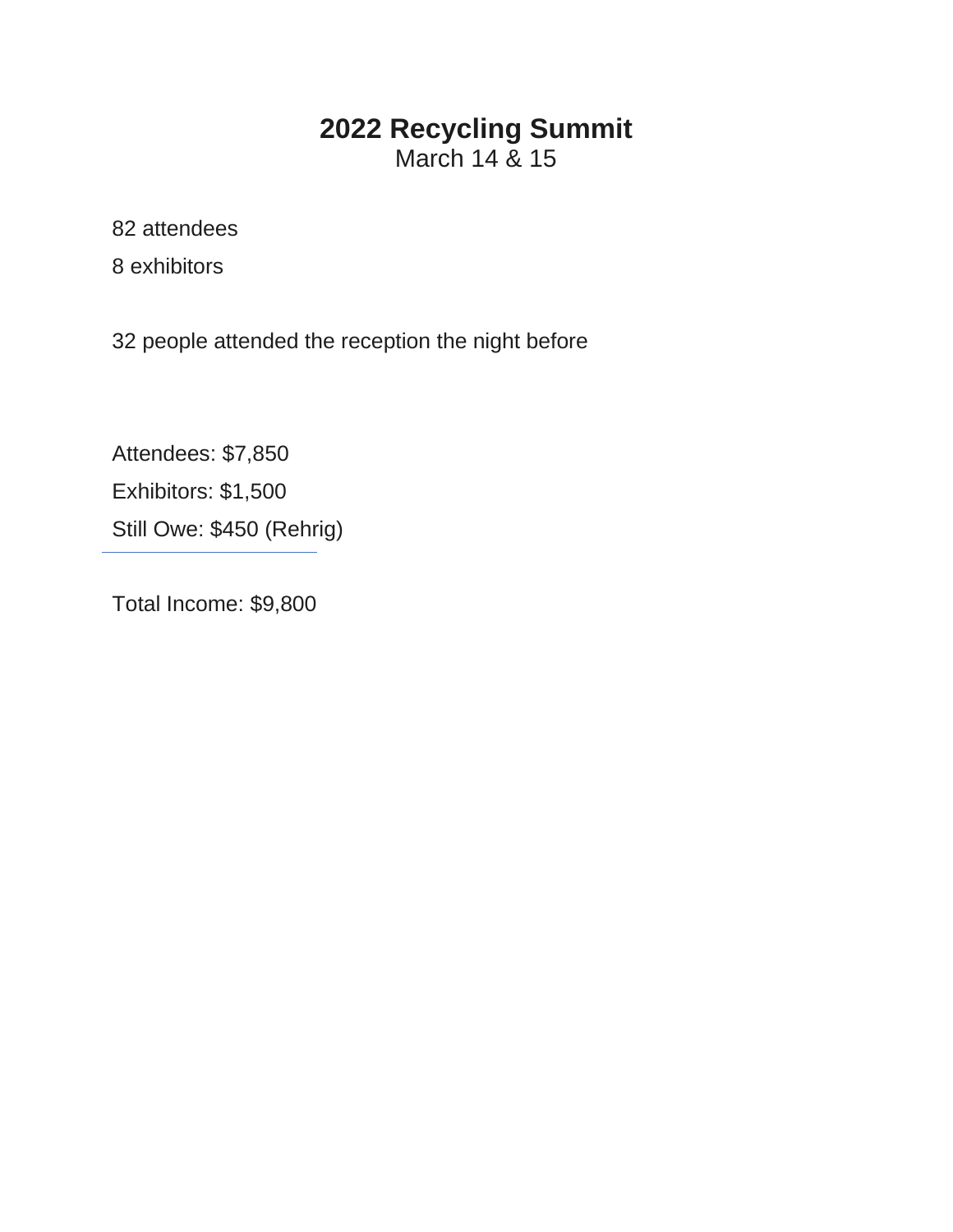# **2022 Recycling Summit**

March 14 & 15

82 attendees

8 exhibitors

32 people attended the reception the night before

Attendees: \$7,850 Exhibitors: \$1,500 Still Owe: \$450 (Rehrig)

Total Income: \$9,800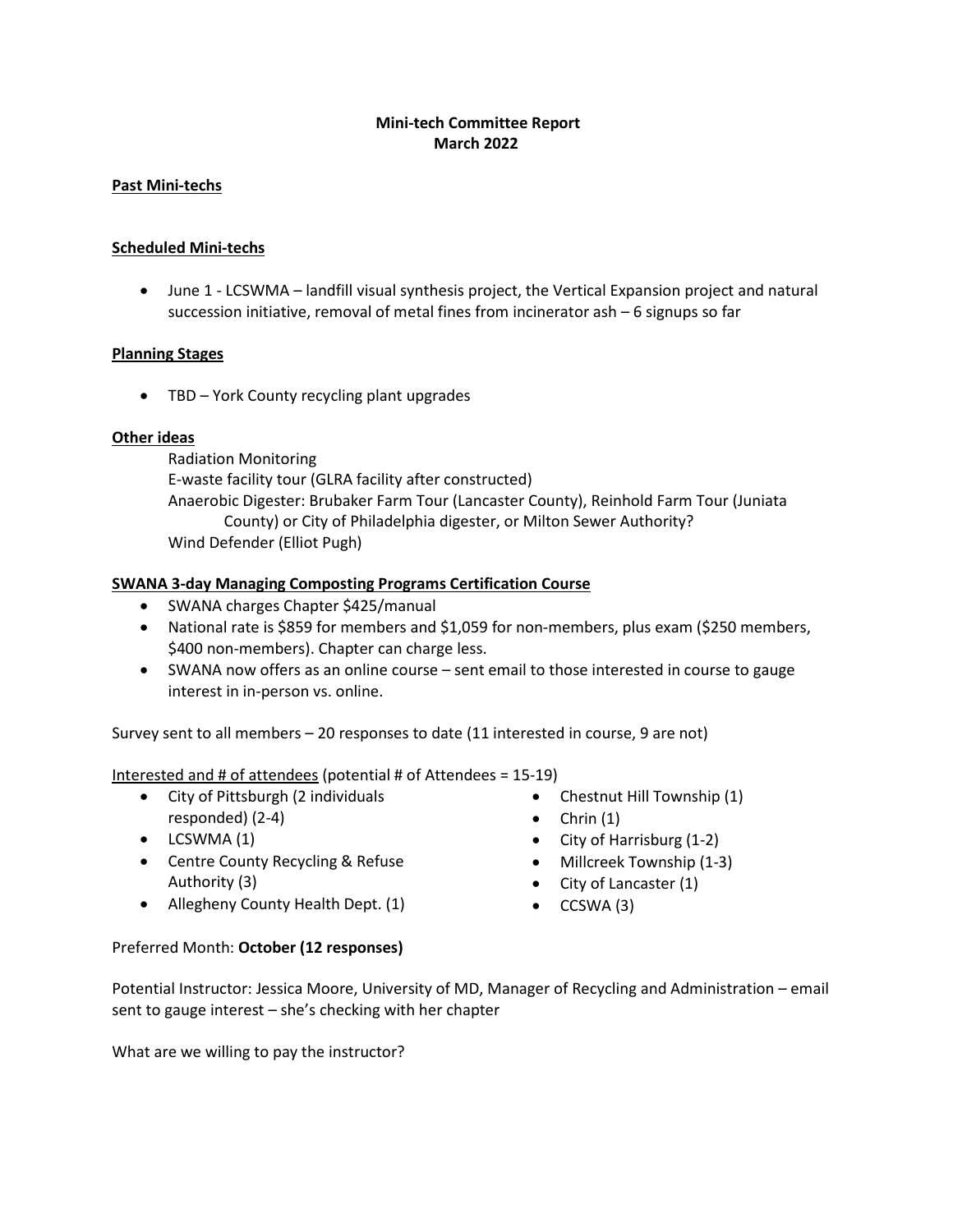## **Mini-tech Committee Report March 2022**

## **Past Mini-techs**

## **Scheduled Mini-techs**

• June 1 - LCSWMA – landfill visual synthesis project, the Vertical Expansion project and natural succession initiative, removal of metal fines from incinerator ash – 6 signups so far

## **Planning Stages**

• TBD – York County recycling plant upgrades

## **Other ideas**

Radiation Monitoring E-waste facility tour (GLRA facility after constructed) Anaerobic Digester: Brubaker Farm Tour (Lancaster County), Reinhold Farm Tour (Juniata County) or City of Philadelphia digester, or Milton Sewer Authority? Wind Defender (Elliot Pugh)

## **SWANA 3-day Managing Composting Programs Certification Course**

- SWANA charges Chapter \$425/manual
- National rate is \$859 for members and \$1,059 for non-members, plus exam (\$250 members, \$400 non-members). Chapter can charge less.
- SWANA now offers as an online course sent email to those interested in course to gauge interest in in-person vs. online.

Survey sent to all members – 20 responses to date (11 interested in course, 9 are not)

Interested and # of attendees (potential # of Attendees = 15-19)

- City of Pittsburgh (2 individuals responded) (2-4)
- LCSWMA (1)
- Centre County Recycling & Refuse Authority (3)
- Allegheny County Health Dept. (1)
- Chestnut Hill Township (1)
- Chrin  $(1)$
- City of Harrisburg (1-2)
- Millcreek Township (1-3)
- City of Lancaster (1)
- CCSWA (3)

## Preferred Month: **October (12 responses)**

Potential Instructor: Jessica Moore, University of MD, Manager of Recycling and Administration – email sent to gauge interest – she's checking with her chapter

What are we willing to pay the instructor?